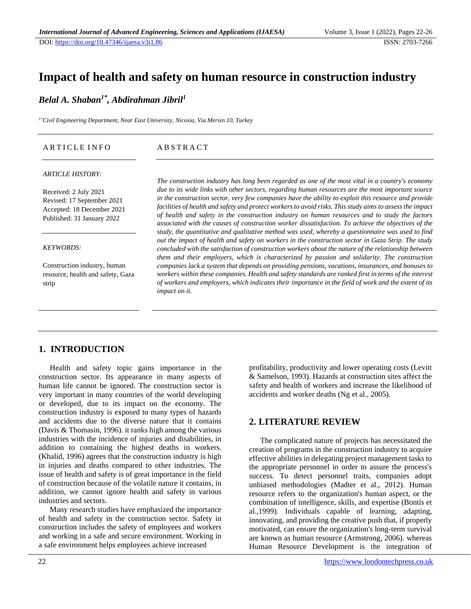# **Impact of health and safety on human resource in construction industry**

*Belal A. Shaban1\* , Abdirahman Jibril<sup>1</sup>*

*1\*Civil Engineering Department, Near East University, Nicosia, Via Mersin 10, Turkey*

| <b>ABSTRACT</b><br>ARTICLE INFO |
|---------------------------------|
|                                 |

#### *ARTICLE HISTORY:*

Received: 2 July 2021 Revised: 17 September 2021 Accepted: 18 December 2021 Published: 31 January 2022

#### *KEYWORDS:*

Construction industry, human resource, health and safety, Gaza strip

*The construction industry has long been regarded as one of the most vital in a country's economy due to its wide links with other sectors, regarding human resources are the most important source in the construction sector. very few companies have the ability to exploit this resource and provide facilities of health and safety and protect workers to avoid risks. This study aims to assess the impact of health and safety in the construction industry on human resources and to study the factors associated with the causes of construction worker dissatisfaction. To achieve the objectives of the study, the quantitative and qualitative method was used, whereby a questionnaire was used to find out the impact of health and safety on workers in the construction sector in Gaza Strip. The study concluded with the satisfaction of construction workers about the nature of the relationship between them and their employers, which is characterized by passion and solidarity. The construction companies lack a system that depends on providing pensions, vacations, insurances, and bonuses to workers within these companies. Health and safety standards are ranked first in terms of the interest of workers and employers, which indicates their importance in the field of work and the extent of its impact on it.*

## **1. INTRODUCTION**

Health and safety topic gains importance in the construction sector. Its appearance in many aspects of human life cannot be ignored. The construction sector is very important in many countries of the world developing or developed, due to its impact on the economy. The construction industry is exposed to many types of hazards and accidents due to the diverse nature that it contains (Davis & Thomasin, 1996). it ranks high among the various industries with the incidence of injuries and disabilities, in addition to containing the highest deaths in workers. (Khalid, 1996) agrees that the construction industry is high in injuries and deaths compared to other industries. The issue of health and safety is of great importance in the field of construction because of the volatile nature it contains, in addition, we cannot ignore health and safety in various industries and sectors.

Many research studies have emphasized the importance of health and safety in the construction sector. Safety in construction includes the safety of employees and workers and working in a safe and secure environment. Working in a safe environment helps employees achieve increased

profitability, productivity and lower operating costs (Levitt & Samelson, 1993). Hazards at construction sites affect the safety and health of workers and increase the likelihood of accidents and worker deaths (Ng et al., 2005).

## **2. LITERATURE REVIEW**

The complicated nature of projects has necessitated the creation of programs in the construction industry to acquire effective abilities in delegating project management tasks to the appropriate personnel in order to assure the process's success. To detect personnel traits, companies adopt unbiased methodologies (Madter et al., 2012). Human resource refers to the organization's human aspect, or the combination of intelligence, skills, and expertise (Bontis et al.,1999). Individuals capable of learning, adapting, innovating, and providing the creative push that, if properly motivated, can ensure the organization's long-term survival are known as human resource (Armstrong, 2006). whereas Human Resource Development is the integration of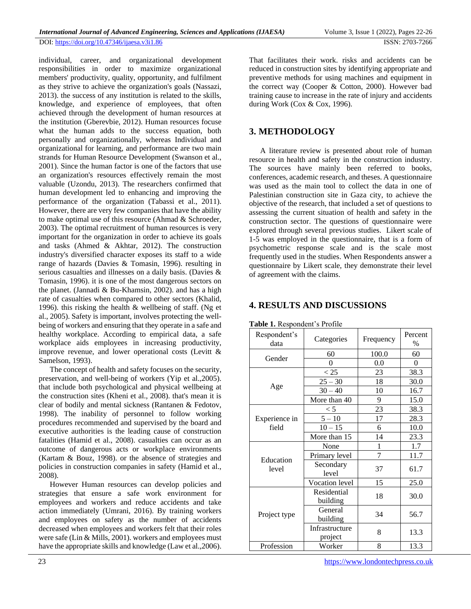DOI:<https://doi.org/10.47346/ijaesa.v3i1.86> ISSN: 2703-7266

individual, career, and organizational development responsibilities in order to maximize organizational members' productivity, quality, opportunity, and fulfilment as they strive to achieve the organization's goals (Nassazi, 2013). the success of any institution is related to the skills, knowledge, and experience of employees, that often achieved through the development of human resources at the institution (Gberevbie, 2012). Human resources focuse what the human adds to the success equation, both personally and organizationally, whereas Individual and organizational for learning, and performance are two main strands for Human Resource Development (Swanson et al., 2001). Since the human factor is one of the factors that use an organization's resources effectively remain the most valuable (Uzondu, 2013). The researchers confirmed that human development led to enhancing and improving the performance of the organization (Tabassi et al., 2011). However, there are very few companies that have the ability to make optimal use of this resource (Ahmad & Schroeder, 2003). The optimal recruitment of human resources is very important for the organization in order to achieve its goals and tasks (Ahmed & Akhtar, 2012). The construction industry's diversified character exposes its staff to a wide range of hazards (Davies & Tomasin, 1996). resulting in serious casualties and illnesses on a daily basis. (Davies & Tomasin, 1996). it is one of the most dangerous sectors on the planet. (Jannadi & Bu-Khamsin, 2002). and has a high rate of casualties when compared to other sectors (Khalid, 1996). this risking the health & wellbeing of staff. (Ng et al., 2005). Safety is important, involves protecting the wellbeing of workers and ensuring that they operate in a safe and healthy workplace. According to empirical data, a safe workplace aids employees in increasing productivity, improve revenue, and lower operational costs (Levitt &

The concept of health and safety focuses on the security, preservation, and well-being of workers (Yip et al.,2005). that include both psychological and physical wellbeing at the construction sites (Kheni et al., 2008). that's mean it is clear of bodily and mental sickness (Rantanen & Fedotov, 1998). The inability of personnel to follow working procedures recommended and supervised by the board and executive authorities is the leading cause of construction fatalities (Hamid et al., 2008). casualties can occur as an outcome of dangerous acts or workplace environments (Kartam & Bouz, 1998). or the absence of strategies and policies in construction companies in safety (Hamid et al., 2008).

However Human resources can develop policies and strategies that ensure a safe work environment for employees and workers and reduce accidents and take action immediately (Umrani, 2016). By training workers and employees on safety as the number of accidents decreased when employees and workers felt that their roles were safe (Lin & Mills, 2001). workers and employees must have the appropriate skills and knowledge (Law et al.,2006).

That facilitates their work. risks and accidents can be reduced in construction sites by identifying appropriate and preventive methods for using machines and equipment in the correct way (Cooper & Cotton, 2000). However bad training cause to increase in the rate of injury and accidents during Work (Cox & Cox, 1996).

#### **3. METHODOLOGY**

A literature review is presented about role of human resource in health and safety in the construction industry. The sources have mainly been referred to books, conferences, academic research, and theses. A questionnaire was used as the main tool to collect the data in one of Palestinian construction site in Gaza city, to achieve the objective of the research, that included a set of questions to assessing the current situation of health and safety in the construction sector. The questions of questionnaire were explored through several previous studies. Likert scale of 1-5 was employed in the questionnaire, that is a form of psychometric response scale and is the scale most frequently used in the studies. When Respondents answer a questionnaire by Likert scale, they demonstrate their level of agreement with the claims.

## **4. RESULTS AND DISCUSSIONS**

| Respondent's<br>data | Categories                | Frequency | Percent<br>$\frac{0}{0}$ |  |
|----------------------|---------------------------|-----------|--------------------------|--|
| 60<br>Gender         |                           | 100.0     | 60                       |  |
|                      | 0                         | 0.0       | 0                        |  |
|                      | < 25                      | 23        | 38.3                     |  |
| Age                  | $25 - 30$                 | 18        | 30.0                     |  |
|                      | $30 - 40$                 | 10        | 16.7                     |  |
|                      | More than 40              | 9         | 15.0                     |  |
|                      | < 5                       | 23        | 38.3                     |  |
| Experience in        | $5 - 10$                  | 17        | 28.3                     |  |
| field                | $10 - 15$                 | 6         | 10.0                     |  |
|                      | More than 15              | 14        | 23.3                     |  |
|                      | None                      | 1         | 1.7                      |  |
| Education<br>level   | Primary level             | 7         | 11.7                     |  |
|                      | Secondary<br>level        | 37        | 61.7                     |  |
|                      | Vocation level            | 15        | 25.0                     |  |
|                      | Residential<br>building   | 18        | 30.0                     |  |
| Project type         | General<br>building       | 34        | 56.7                     |  |
|                      | Infrastructure<br>project | 8         | 13.3                     |  |
| Profession           | Worker                    | 8         | 13.3                     |  |

#### **Table 1.** Respondent's Profile

Samelson, 1993).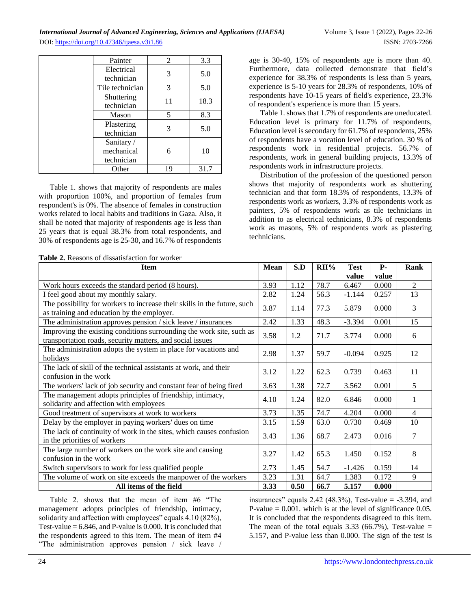| Painter                                | 2  | 3.3  |
|----------------------------------------|----|------|
| Electrical<br>technician               | 3  | 5.0  |
| Tile technician                        | 3  | 5.0  |
| Shuttering<br>technician               | 11 | 18.3 |
| Mason                                  | 5  | 8.3  |
| Plastering<br>technician               | 3  | 5.0  |
| Sanitary /<br>mechanical<br>technician |    | 10   |
| Other                                  | 19 | 31.7 |

Table 1. shows that majority of respondents are males with proportion 100%, and proportion of females from respondent's is 0%. The absence of females in construction works related to local habits and traditions in Gaza. Also, it shall be noted that majority of respondents age is less than 25 years that is equal 38.3% from total respondents, and 30% of respondents age is 25-30, and 16.7% of respondents

**Table 2.** Reasons of dissatisfaction for worker

age is 30-40, 15% of respondents age is more than 40. Furthermore, data collected demonstrate that field's experience for 38.3% of respondents is less than 5 years, experience is 5-10 years for 28.3% of respondents, 10% of respondents have 10-15 years of field's experience, 23.3% of respondent's experience is more than 15 years.

Table 1. shows that 1.7% of respondents are uneducated. Education level is primary for 11.7% of respondents, Education level is secondary for 61.7% of respondents, 25% of respondents have a vocation level of education. 30 % of respondents work in residential projects. 56.7% of respondents, work in general building projects, 13.3% of respondents work in infrastructure projects.

Distribution of the profession of the questioned person shows that majority of respondents work as shuttering technician and that form 18.3% of respondents, 13.3% of respondents work as workers, 3.3% of respondents work as painters, 5% of respondents work as tile technicians in addition to as electrical technicians, 8.3% of respondents work as masons, 5% of respondents work as plastering technicians.

| <b>Item</b>                                                                                                                       | <b>Mean</b> | S.D  | $RII\%$ | <b>Test</b><br>value | $P-$<br>value | Rank           |
|-----------------------------------------------------------------------------------------------------------------------------------|-------------|------|---------|----------------------|---------------|----------------|
| Work hours exceeds the standard period (8 hours).                                                                                 | 3.93        | 1.12 | 78.7    | 6.467                | 0.000         | $\overline{2}$ |
| I feel good about my monthly salary.                                                                                              | 2.82        | 1.24 | 56.3    | $-1.144$             | 0.257         | 13             |
| The possibility for workers to increase their skills in the future, such<br>as training and education by the employer.            | 3.87        | 1.14 | 77.3    | 5.879                | 0.000         | 3              |
| The administration approves pension / sick leave / insurances                                                                     | 2.42        | 1.33 | 48.3    | $-3.394$             | 0.001         | 15             |
| Improving the existing conditions surrounding the work site, such as<br>transportation roads, security matters, and social issues | 3.58        | 1.2  | 71.7    | 3.774                | 0.000         | 6              |
| The administration adopts the system in place for vacations and<br>holidays                                                       | 2.98        | 1.37 | 59.7    | $-0.094$             | 0.925         | 12             |
| The lack of skill of the technical assistants at work, and their<br>confusion in the work                                         | 3.12        | 1.22 | 62.3    | 0.739                | 0.463         | 11             |
| The workers' lack of job security and constant fear of being fired                                                                | 3.63        | 1.38 | 72.7    | 3.562                | 0.001         | 5              |
| The management adopts principles of friendship, intimacy,<br>solidarity and affection with employees                              | 4.10        | 1.24 | 82.0    | 6.846                | 0.000         | $\mathbf{1}$   |
| Good treatment of supervisors at work to workers                                                                                  | 3.73        | 1.35 | 74.7    | 4.204                | 0.000         | 4              |
| Delay by the employer in paying workers' dues on time                                                                             | 3.15        | 1.59 | 63.0    | 0.730                | 0.469         | 10             |
| The lack of continuity of work in the sites, which causes confusion<br>in the priorities of workers                               | 3.43        | 1.36 | 68.7    | 2.473                | 0.016         | 7              |
| The large number of workers on the work site and causing<br>confusion in the work                                                 | 3.27        | 1.42 | 65.3    | 1.450                | 0.152         | 8              |
| Switch supervisors to work for less qualified people                                                                              | 2.73        | 1.45 | 54.7    | $-1.426$             | 0.159         | 14             |
| The volume of work on site exceeds the manpower of the workers                                                                    | 3.23        | 1.31 | 64.7    | 1.383                | 0.172         | 9              |
| All items of the field                                                                                                            | 3.33        | 0.50 | 66.7    | 5.157                | 0.000         |                |

Table 2. shows that the mean of item #6 "The management adopts principles of friendship, intimacy, solidarity and affection with employees" equals 4.10 (82%), Test-value  $= 6.846$ , and P-value is 0.000. It is concluded that the respondents agreed to this item. The mean of item #4 "The administration approves pension / sick leave / insurances" equals  $2.42$  (48.3%), Test-value =  $-3.394$ , and P-value  $= 0.001$ . which is at the level of significance 0.05. It is concluded that the respondents disagreed to this item. The mean of the total equals  $3.33$  (66.7%), Test-value = 5.157, and P-value less than 0.000. The sign of the test is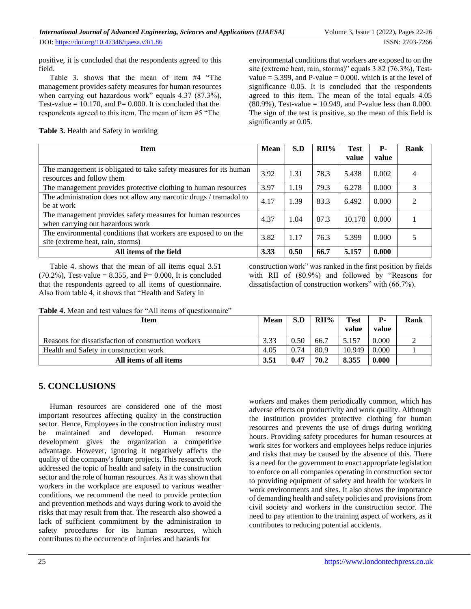positive, it is concluded that the respondents agreed to this field.

Table 3. shows that the mean of item #4 "The management provides safety measures for human resources when carrying out hazardous work" equals 4.37 (87.3%), Test-value =  $10.170$ , and P= 0.000. It is concluded that the respondents agreed to this item. The mean of item #5 "The

**Table 3.** Health and Safety in working

environmental conditions that workers are exposed to on the site (extreme heat, rain, storms)" equals 3.82 (76.3%), Testvalue =  $5.399$ , and P-value = 0.000. which is at the level of significance 0.05. It is concluded that the respondents agreed to this item. The mean of the total equals 4.05 (80.9%), Test-value = 10.949, and P-value less than 0.000. The sign of the test is positive, so the mean of this field is significantly at 0.05.

| <b>Item</b>                                                                                          | <b>Mean</b> | S.D  | $RII\%$ | <b>Test</b><br>value | <b>P</b> -<br>value | Rank |
|------------------------------------------------------------------------------------------------------|-------------|------|---------|----------------------|---------------------|------|
| The management is obligated to take safety measures for its human<br>resources and follow them       | 3.92        | 1.31 | 78.3    | 5.438                | 0.002               |      |
| The management provides protective clothing to human resources                                       | 3.97        | 1.19 | 79.3    | 6.278                | 0.000               | 3    |
| The administration does not allow any narcotic drugs / tramadol to<br>be at work                     | 4.17        | 1.39 | 83.3    | 6.492                | 0.000               | ∍    |
| The management provides safety measures for human resources<br>when carrying out hazardous work      | 4.37        | 1.04 | 87.3    | 10.170               | 0.000               |      |
| The environmental conditions that workers are exposed to on the<br>site (extreme heat, rain, storms) | 3.82        | 1.17 | 76.3    | 5.399                | 0.000               |      |
| All items of the field                                                                               | 3.33        | 0.50 | 66.7    | 5.157                | 0.000               |      |

Table 4. shows that the mean of all items equal 3.51 (70.2%), Test-value = 8.355, and P= 0.000, It is concluded that the respondents agreed to all items of questionnaire. Also from table 4, it shows that "Health and Safety in

construction work" was ranked in the first position by fields with RII of (80.9%) and followed by "Reasons for dissatisfaction of construction workers" with (66.7%).

**Table 4.** Mean and test values for "All items of questionnaire"

| <b>Item</b>                                         | Mean | S.D  | $RII\%$ | <b>Test</b> | <b>P</b> - | Rank |
|-----------------------------------------------------|------|------|---------|-------------|------------|------|
|                                                     |      |      |         | value       | value      |      |
| Reasons for dissatisfaction of construction workers | 3.33 | 0.50 | 66.7    | 5.157       | 0.000      |      |
| Health and Safety in construction work              | 4.05 | 0.74 | 80.9    | 10.949      | 0.000      |      |
| All items of all items                              | 3.51 | 0.47 | 70.2    | 8.355       | 0.000      |      |

## **5. CONCLUSIONS**

Human resources are considered one of the most important resources affecting quality in the construction sector. Hence, Employees in the construction industry must be maintained and developed. Human resource development gives the organization a competitive advantage. However, ignoring it negatively affects the quality of the company's future projects. This research work addressed the topic of health and safety in the construction sector and the role of human resources. As it was shown that workers in the workplace are exposed to various weather conditions, we recommend the need to provide protection and prevention methods and ways during work to avoid the risks that may result from that. The research also showed a lack of sufficient commitment by the administration to safety procedures for its human resources, which contributes to the occurrence of injuries and hazards for

workers and makes them periodically common, which has adverse effects on productivity and work quality. Although the institution provides protective clothing for human resources and prevents the use of drugs during working hours. Providing safety procedures for human resources at work sites for workers and employees helps reduce injuries and risks that may be caused by the absence of this. There is a need for the government to enact appropriate legislation to enforce on all companies operating in construction sector to providing equipment of safety and health for workers in work environments and sites. It also shows the importance of demanding health and safety policies and provisions from civil society and workers in the construction sector. The need to pay attention to the training aspect of workers, as it contributes to reducing potential accidents.